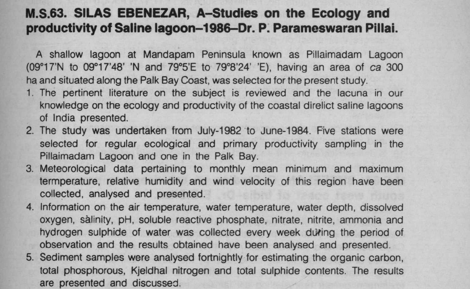## **M.S.63**. **SILAS EBENEZAR**, **A-Studies on the Ecology and productivity of Saline lagoon**-**1986**-**Dr. P. Parameswaran Pillai.**

A shallow lagoon at Mandapam Peninsula known as Pillaimadam Lagoon (09°17'N to 09°17'48' 'N and 79°5'E to 79°8'24' 'E), having an area of ca 300 ha and situated along the Palk Bay Coast, was selectea for the present study.

- 1. The pertinent literature on the subject is reviewed and the lacuna in our knowledge on the ecology and productivity of the coastal direlict saline lagoons of India presented.
- 2. The study was undertaken from July-1982 to June-1984. Five stations were selected for regular ecological and primary productivity sampling in the Pillaimadam Lagoon and one in the Palk Bay.
- 3. Meteorological data pertaining to monthly mean minimum and maximum termperature, relative humidity and wind velocity of this region have been collected, analysed and presented.
- 4. Information on the air temperature, water temperature, water depth, dissolved oxygen, salinity, pH, soluble reactive phosphate, nitrate, nitrite, ammonia and hydrogen sulphide of water was collected every week during the period of observation and the results obtained have been analysed and presented.
- 5. Sediment samples were analysed fortnightly for estimating the organic carbon, total phosphorous, Kjeldhal nitrogen and total sulphide contents. The results are presented and discussed.